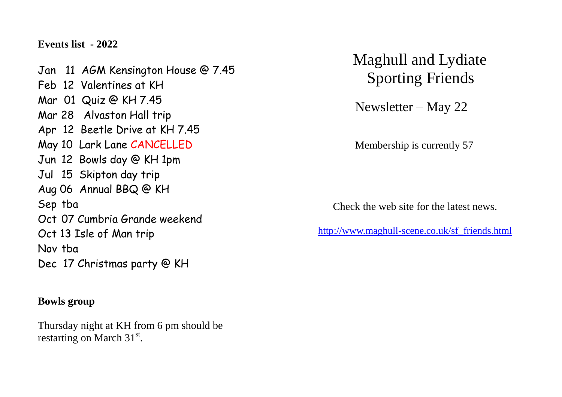**Events list - 2022**

Jan 11 AGM Kensington House @ 7.45 Feb 12 Valentines at KH Mar 01 Quiz @ KH 7.45 Mar 28 Alvaston Hall trip Apr 12 Beetle Drive at KH 7.45 May 10 Lark Lane CANCELLED Jun 12 Bowls day @ KH 1pm Jul 15 Skipton day trip Aug 06 Annual BBQ @ KH Sep tba Oct 07 Cumbria Grande weekend Oct 13 Isle of Man trip Nov tba Dec 17 Christmas party @ KH

## **Bowls group**

Thursday night at KH from 6 pm should be restarting on March  $31<sup>st</sup>$ .

Maghull and Lydiate Sporting Friends

Newsletter – May 22

Membership is currently 57

Check the web site for the latest news.

[http://www.maghull-scene.co.uk/sf\\_friends.html](http://www.maghull-scene.co.uk/sf_friends.html)